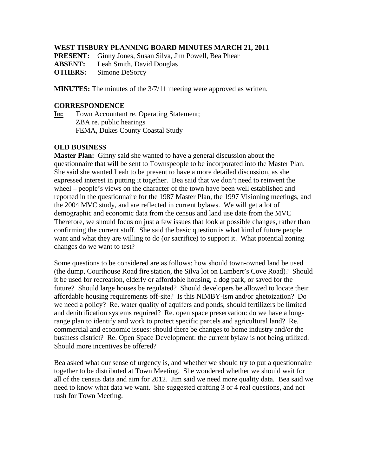## **WEST TISBURY PLANNING BOARD MINUTES MARCH 21, 2011**

**PRESENT:** Ginny Jones, Susan Silva, Jim Powell, Bea Phear

**ABSENT:** Leah Smith, David Douglas

**OTHERS:** Simone DeSorcy

**MINUTES:** The minutes of the 3/7/11 meeting were approved as written.

## **CORRESPONDENCE**

**In:** Town Accountant re. Operating Statement; ZBA re. public hearings FEMA, Dukes County Coastal Study

## **OLD BUSINESS**

**Master Plan:** Ginny said she wanted to have a general discussion about the questionnaire that will be sent to Townspeople to be incorporated into the Master Plan. She said she wanted Leah to be present to have a more detailed discussion, as she expressed interest in putting it together. Bea said that we don't need to reinvent the wheel – people's views on the character of the town have been well established and reported in the questionnaire for the 1987 Master Plan, the 1997 Visioning meetings, and the 2004 MVC study, and are reflected in current bylaws. We will get a lot of demographic and economic data from the census and land use date from the MVC Therefore, we should focus on just a few issues that look at possible changes, rather than confirming the current stuff. She said the basic question is what kind of future people want and what they are willing to do (or sacrifice) to support it. What potential zoning changes do we want to test?

Some questions to be considered are as follows: how should town-owned land be used (the dump, Courthouse Road fire station, the Silva lot on Lambert's Cove Road)? Should it be used for recreation, elderly or affordable housing, a dog park, or saved for the future? Should large houses be regulated? Should developers be allowed to locate their affordable housing requirements off-site? Is this NIMBY-ism and/or ghetoization? Do we need a policy? Re. water quality of aquifers and ponds, should fertilizers be limited and denitrification systems required? Re. open space preservation: do we have a longrange plan to identify and work to protect specific parcels and agricultural land? Re. commercial and economic issues: should there be changes to home industry and/or the business district? Re. Open Space Development: the current bylaw is not being utilized. Should more incentives be offered?

Bea asked what our sense of urgency is, and whether we should try to put a questionnaire together to be distributed at Town Meeting. She wondered whether we should wait for all of the census data and aim for 2012. Jim said we need more quality data. Bea said we need to know what data we want. She suggested crafting 3 or 4 real questions, and not rush for Town Meeting.